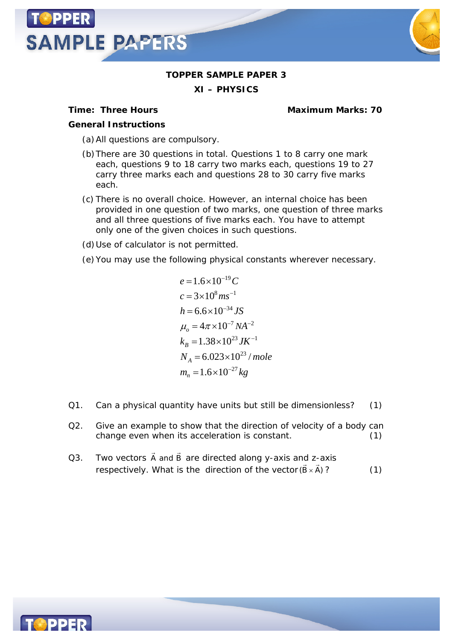



## **TOPPER SAMPLE PAPER 3**

**XI – PHYSICS**

**Time: Three Hours Maximum Marks: 70**

*General Instructions*

- (a)All questions are compulsory.
- (b)There are 30 questions in total. Questions 1 to 8 carry one mark each, questions 9 to 18 carry two marks each, questions 19 to 27 carry three marks each and questions 28 to 30 carry five marks each.
- (c) There is no overall choice. However, an internal choice has been provided in one question of two marks, one question of three marks and all three questions of five marks each. You have to attempt only one of the given choices in such questions.
- (d)Use of calculator is not permitted.
- (e)You may use the following physical constants wherever necessary.

$$
e = 1.6 \times 10^{-19} C
$$
  
\n
$$
c = 3 \times 10^8 m s^{-1}
$$
  
\n
$$
h = 6.6 \times 10^{-34} JS
$$
  
\n
$$
\mu_o = 4\pi \times 10^{-7} NA^{-2}
$$
  
\n
$$
k_B = 1.38 \times 10^{23} JK^{-1}
$$
  
\n
$$
N_A = 6.023 \times 10^{23} / mole
$$
  
\n
$$
m_n = 1.6 \times 10^{-27} kg
$$

- Q1. Can a physical quantity have units but still be dimensionless? (1)
- Q2. Give an example to show that the direction of velocity of a body can change even when its acceleration is constant. (1)
- Q3. Two vectors  $\Rightarrow$   $\Rightarrow$ A and B are directed along y-axis and z-axis respectively. What is the direction of the vector (B  $\times$  $\frac{1}{\alpha}$   $\rightarrow$  $(B \times A)$ ? (1)

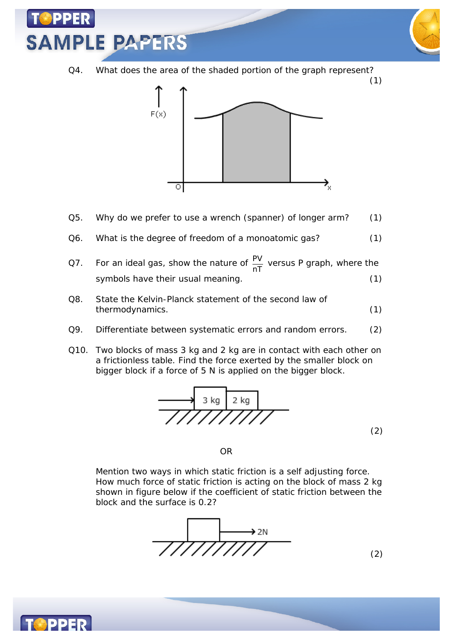

Q4. What does the area of the shaded portion of the graph represent?



- Q5. Why do we prefer to use a wrench (spanner) of longer arm? (1)
- Q6. What is the degree of freedom of a monoatomic gas? (1)
- Q7. For an ideal gas, show the nature of  $\frac{PV}{nT}$  versus P graph, where the symbols have their usual meaning. (1)
- Q8. State the Kelvin-Planck statement of the second law of thermodynamics. (1)
- Q9. Differentiate between systematic errors and random errors. (2)
- Q10. Two blocks of mass 3 kg and 2 kg are in contact with each other on a frictionless table. Find the force exerted by the smaller block on bigger block if a force of 5 N is applied on the bigger block.



OR

Mention two ways in which static friction is a self adjusting force. How much force of static friction is acting on the block of mass 2 kg shown in figure below if the coefficient of static friction between the block and the surface is 0.2?



(2)

(1)

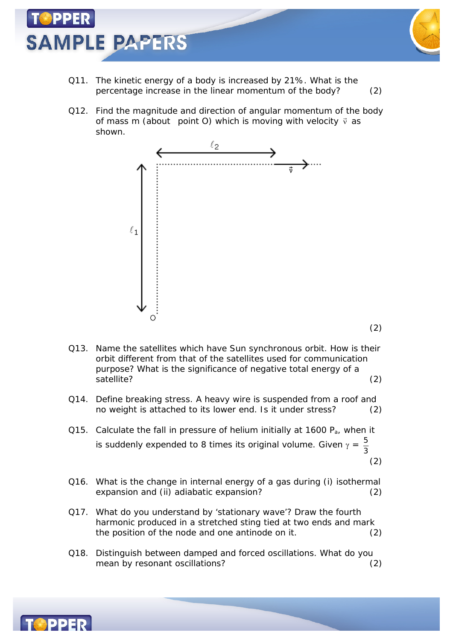

- Q11. The kinetic energy of a body is increased by 21%. What is the percentage increase in the linear momentum of the body? (2)
- Q12. Find the magnitude and direction of angular momentum of the body of mass m (about point O) which is moving with velocity  $\vec{v}$  as shown.



(2)

- Q13. Name the satellites which have Sun synchronous orbit. How is their orbit different from that of the satellites used for communication purpose? What is the significance of negative total energy of a satellite? (2)
- Q14. Define breaking stress. A heavy wire is suspended from a roof and no weight is attached to its lower end. Is it under stress? (2)
- Q15. Calculate the fall in pressure of helium initially at 1600  $P_a$ , when it is suddenly expended to 8 times its original volume. Given  $\gamma = \frac{5}{6}$ 3 (2)
- Q16. What is the change in internal energy of a gas during (i) isothermal expansion and (ii) adiabatic expansion? (2)
- Q17. What do you understand by 'stationary wave'? Draw the fourth harmonic produced in a stretched sting tied at two ends and mark the position of the node and one antinode on it. (2)
- Q18. Distinguish between damped and forced oscillations. What do you mean by resonant oscillations? (2)

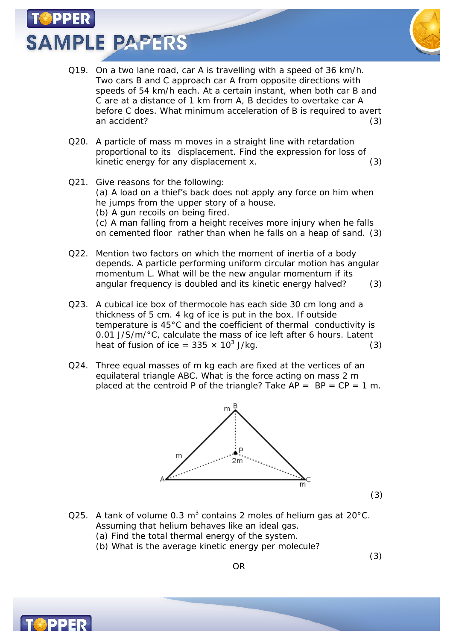**SAMPLE PAPERS** 



(3)

(3)

- Q19. On a two lane road, car A is travelling with a speed of 36 km/h. Two cars B and C approach car A from opposite directions with speeds of 54 km/h each. At a certain instant, when both car B and C are at a distance of 1 km from A, B decides to overtake car A before C does. What minimum acceleration of B is required to avert an accident? (3)
- Q20. A particle of mass m moves in a straight line with retardation proportional to its displacement. Find the expression for loss of kinetic energy for any displacement x. (3)
- Q21. Give reasons for the following: (a) A load on a thief's back does not apply any force on him when he jumps from the upper story of a house. (b) A gun recoils on being fired. (c) A man falling from a height receives more injury when he falls on cemented floor rather than when he falls on a heap of sand. (3)
- Q22. Mention two factors on which the moment of inertia of a body depends. A particle performing uniform circular motion has angular momentum L. What will be the new angular momentum if its angular frequency is doubled and its kinetic energy halved? (3)
- Q23. A cubical ice box of thermocole has each side 30 cm long and a thickness of 5 cm. 4 kg of ice is put in the box. If outside temperature is 45°C and the coefficient of thermal conductivity is 0.01 J/S/m/°C, calculate the mass of ice left after 6 hours. Latent heat of fusion of ice =  $335 \times 10^3$  J/kg. (3)
- Q24. Three equal masses of m kg each are fixed at the vertices of an equilateral triangle ABC. What is the force acting on mass 2 m placed at the centroid P of the triangle? Take  $AP = BP = CP = 1 m$ .



- Q25. A tank of volume 0.3 m<sup>3</sup> contains 2 moles of helium gas at 20°C. Assuming that helium behaves like an ideal gas.
	- (a) Find the total thermal energy of the system.
	- (b) What is the average kinetic energy per molecule?

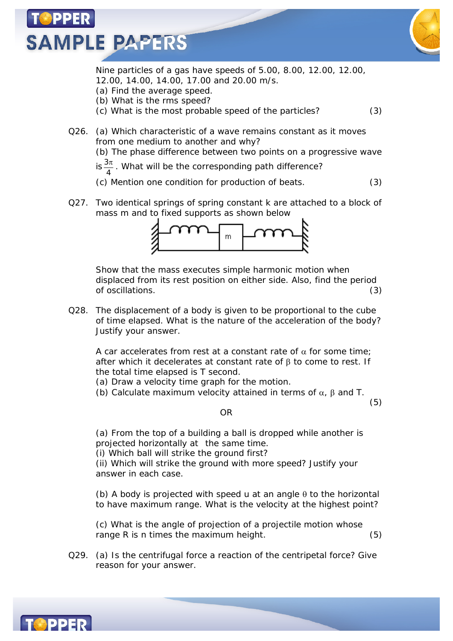



Nine particles of a gas have speeds of 5.00, 8.00, 12.00, 12.00, 12.00, 14.00, 14.00, 17.00 and 20.00 m/s.

- (a) Find the average speed.
- (b) What is the rms speed? (c) What is the most probable speed of the particles? (3)

Q26. (a) Which characteristic of a wave remains constant as it moves from one medium to another and why?

(b) The phase difference between two points on a progressive wave

 $is \frac{3\pi}{4}$  $\frac{\pi}{\cdot}$  . What will be the corresponding path difference?

(c) Mention one condition for production of beats. (3)

Q27. Two identical springs of spring constant k are attached to a block of mass m and to fixed supports as shown below



Show that the mass executes simple harmonic motion when displaced from its rest position on either side. Also, find the period of oscillations. (3)

Q28. The displacement of a body is given to be proportional to the cube of time elapsed. What is the nature of the acceleration of the body? Justify your answer.

A car accelerates from rest at a constant rate of  $\alpha$  for some time; after which it decelerates at constant rate of  $\beta$  to come to rest. If the total time elapsed is T second.

- (a) Draw a velocity time graph for the motion.
- (b) Calculate maximum velocity attained in terms of  $\alpha$ ,  $\beta$  and T.

(5)

OR

(a) From the top of a building a ball is dropped while another is projected horizontally at the same time.

(i) Which ball will strike the ground first?

(ii) Which will strike the ground with more speed? Justify your answer in each case.

(b) A body is projected with speed u at an angle  $\theta$  to the horizontal to have maximum range. What is the velocity at the highest point?

(c) What is the angle of projection of a projectile motion whose range R is n times the maximum height. (5)

Q29. (a) Is the centrifugal force a reaction of the centripetal force? Give reason for your answer.